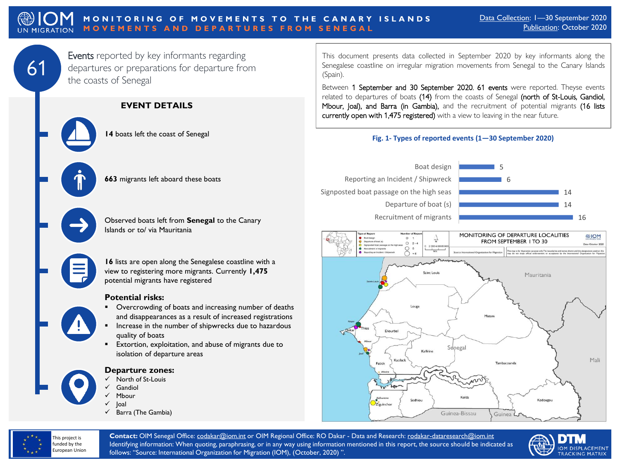## **MONITORING OF MOVEMENTS TO THE CANARY ISLANDS MOVEMENTS AND DEPARTURES FROM SENEGAL**

61

Events reported by key informants regarding departures or preparations for departure from the coasts of Senegal

**EVENT DETAILS**

**14** boats left the coast of Senegal

**663** migrants left aboard these boats

Observed boats left from **Senegal** to the Canary Islands or to/ via Mauritania

**16** lists are open along the Senegalese coastline with a view to registering more migrants. Currently **1,475** potential migrants have registered

#### **Potential risks:**

- Overcrowding of boats and increasing number of deaths and disappearances as a result of increased registrations
- Increase in the number of shipwrecks due to hazardous quality of boats
- Extortion, exploitation, and abuse of migrants due to isolation of departure areas

#### **Departure zones:**

- ✓ North of St-Louis
- Gandiol
- Mbour
- **Joal**
- ✓ Barra (The Gambia)

This document presents data collected in September 2020 by key informants along the Senegalese coastline on irregular migration movements from Senegal to the Canary Islands (Spain).

Between 1 September and 30 September 2020, 61 events were reported. Theyse events related to departures of boats (14) from the coasts of Senegal (north of St-Louis, Gandiol, Mbour, Joal), and Barra (in Gambia), and the recruitment of potential migrants (16 lists currently open with 1,475 registered) with a view to leaving in the near future.

### **Fig. 1- Types of reported events (1—30 September 2020)**







**Contact:** OIM Senegal Office: [codakar@iom.int](mailto:codakar@iom.int) or OIM Regional Office: RO Dakar - Data and Research: [rodakar-dataresearch@iom.int](mailto:rodakar-dataresearch@iom.int) Identifying information: When quoting, paraphrasing, or in any way using information mentioned in this report, the source should be indicated as follows: "Source: International Organization for Migration (IOM), (October, 2020) ".